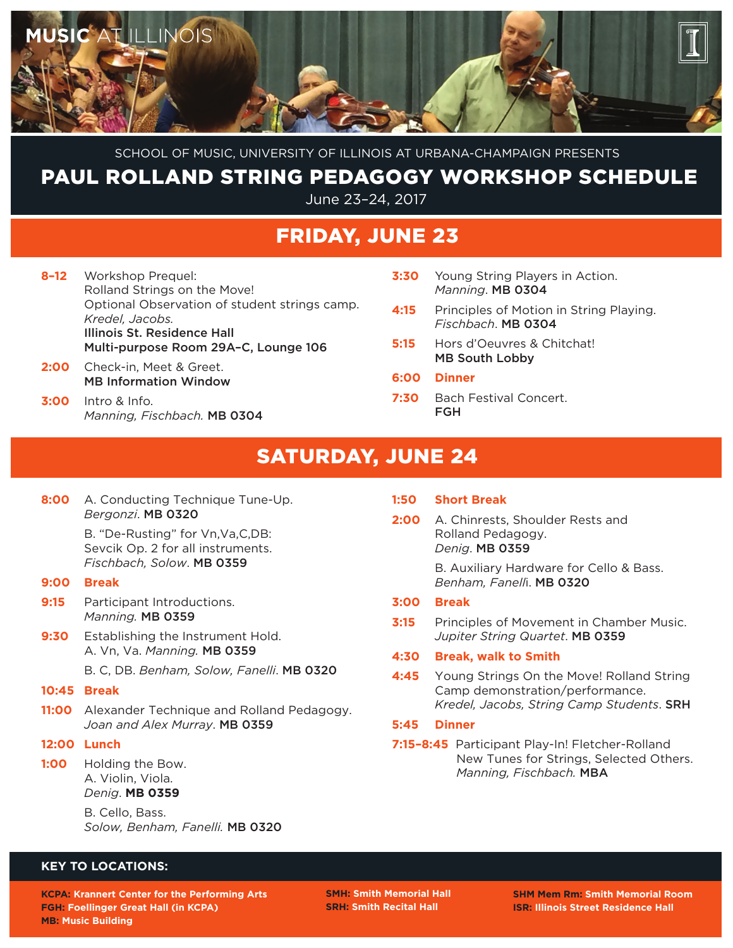

School of Music, University of Illinois at Urbana-Champaign Presents

### paul rolland string pedagogy workshop Schedule

June 23–24, 2017

## Friday, June 23

- **8–12** Workshop Prequel: Rolland Strings on the Move! Optional Observation of student strings camp. *Kredel, Jacobs.*  Illinois St. Residence Hall Multi-purpose Room 29A–C, Lounge 106
- **2:00** Check-in, Meet & Greet. MB Information Window
- **3:00** Intro & Info. *Manning, Fischbach.* MB 0304
- **3:30** Young String Players in Action. *Manning*. MB 0304
- **4:15** Principles of Motion in String Playing. *Fischbach*. MB 0304
- **5:15** Hors d'Oeuvres & Chitchat! MB South Lobby
- **6:00 Dinner**
- **7:30** Bach Festival Concert. FGH

# saturday, June 24

**8:00** A. Conducting Technique Tune-Up. *Bergonzi*. MB 0320

> B. "De-Rusting" for Vn,Va,C,DB: Sevcik Op. 2 for all instruments. *Fischbach, Solow*. MB 0359

- **9:00 Break**
- **9:15** Participant Introductions. *Manning.* MB 0359
- **9:30** Establishing the Instrument Hold. A. Vn, Va. *Manning.* MB 0359
	- B. C, DB. *Benham, Solow, Fanelli*. MB 0320
- **10:45 Break**
- **11:00** Alexander Technique and Rolland Pedagogy. *Joan and Alex Murray*. MB 0359
- **12:00 Lunch**
- **1:00** Holding the Bow. A. Violin, Viola. *Denig*. **MB 0359**

 B. Cello, Bass. *Solow, Benham, Fanelli.* MB 0320

### **1:50 Short Break**

**2:00** A. Chinrests, Shoulder Rests and Rolland Pedagogy. *Denig*. MB 0359

> B. Auxiliary Hardware for Cello & Bass. *Benham, Fanell*i. MB 0320

#### **3:00 Break**

**3:15** Principles of Movement in Chamber Music. *Jupiter String Quartet*. MB 0359

#### **4:30 Break, walk to Smith**

**4:45** Young Strings On the Move! Rolland String Camp demonstration/performance. *Kredel, Jacobs, String Camp Students*. SRH

#### **5:45 Dinner**

**7:15–8:45** Participant Play-In! Fletcher-Rolland New Tunes for Strings, Selected Others. *Manning, Fischbach.* MBA

### **Key to Locations:**

**KCPA: Krannert Center for the Performing Arts FGH: Foellinger Great Hall (in KCPA) MB: Music Building**

**SMH: Smith Memorial Hall SRH: Smith Recital Hall**

**SHM Mem Rm: Smith Memorial Room ISR: Illinois Street Residence Hall**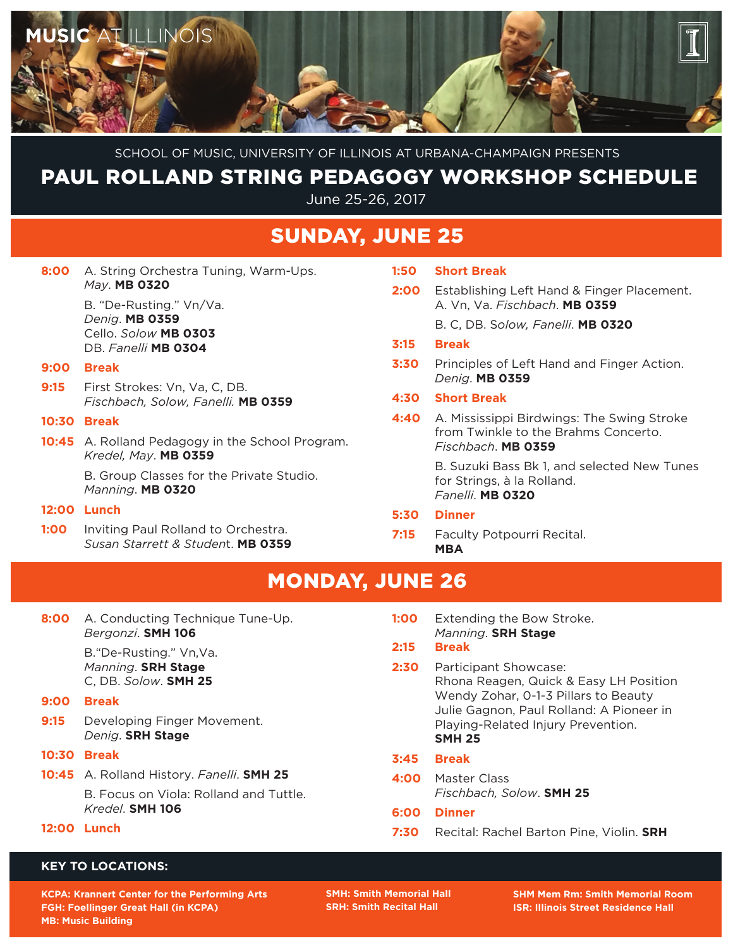

School of Music, University of Illinois at Urbana-Champaign Presents

# paul rolland string pedagogy workshop Schedule

June 25-26, 2017

### SUnday, June 25

| 8:00 A. String Orchestra Tuning, Warm-Ups. |
|--------------------------------------------|
| $May$ . MB 0320                            |

 B. "De-Rusting." Vn/Va. *Denig*. **MB 0359** Cello. *Solow* **MB 0303** DB. *Fanelli* **MB 0304**

#### **9:00 Break**

**9:15** First Strokes: Vn, Va, C, DB. *Fischbach, Solow, Fanelli.* **MB 0359**

#### **10:30 Break**

**10:45** A. Rolland Pedagogy in the School Program. *Kredel, May*. **MB 0359**

> B. Group Classes for the Private Studio. *Manning*. **MB 0320**

#### **12:00 Lunch**

**1:00** Inviting Paul Rolland to Orchestra. *Susan Starrett & Studen*t. **MB 0359**

| 1:50 | <b>Short Break</b>                                                                                       |
|------|----------------------------------------------------------------------------------------------------------|
| 2:00 | Establishing Left Hand & Finger Placement.<br>A. Vn. Va. Fischbach. MB 0359                              |
|      | B. C, DB. Solow, Fanelli. MB 0320                                                                        |
| 3:15 | <b>Break</b>                                                                                             |
| 3:30 | Principles of Left Hand and Finger Action.<br>Denia. MB 0359                                             |
| 4:30 | <b>Short Break</b>                                                                                       |
| 4:40 | A. Mississippi Birdwings: The Swing Stroke<br>from Twinkle to the Brahms Concerto.<br>Fischbach. MB 0359 |
|      | B. Suzuki Bass Bk 1, and selected New Tunes<br>for Strings, à la Rolland.<br>Fanelli. <b>MB 0320</b>     |
| 5:30 | <b>Dinner</b>                                                                                            |

 Rhona Reagen, Quick & Easy LH Position Wendy Zohar, 0-1-3 Pillars to Beauty Julie Gagnon, Paul Rolland: A Pioneer in Playing-Related Injury Prevention.

#### **7:15** Faculty Potpourri Recital. **MBA**

**1:00** Extending the Bow Stroke. *Manning*. **SRH Stage**

*Fischbach, Solow*. **SMH 25**

**7:30** Recital: Rachel Barton Pine, Violin. **SRH**

**2:30** Participant Showcase:

**SMH 25**

**4:00** Master Class

**2:15 Break**

**3:45 Break**

**6:00 Dinner**

Monday, June 26

| 8:00 A. Conducting Technique Tune-Up. |
|---------------------------------------|
| Bergonzi. SMH 106                     |
|                                       |

 B."De-Rusting." Vn,Va. *Manning*. **SRH Stage** C, DB. *Solow*. **SMH 25**

**9:00 Break**

**9:15** Developing Finger Movement. *Denig*. **SRH Stage**

**10:30 Break**

**10:45** A. Rolland History. *Fanelli*. **SMH 25** B. Focus on Viola: Rolland and Tuttle. *Kredel*. **SMH 106**

#### **12:00 Lunch**

### **Key to Locations:**

**KCPA: Krannert Center for the Performing Arts FGH: Foellinger Great Hall (in KCPA) MB: Music Building**

**SMH: Smith Memorial Hall SRH: Smith Recital Hall**

**SHM Mem Rm: Smith Memorial Room ISR: Illinois Street Residence Hall**